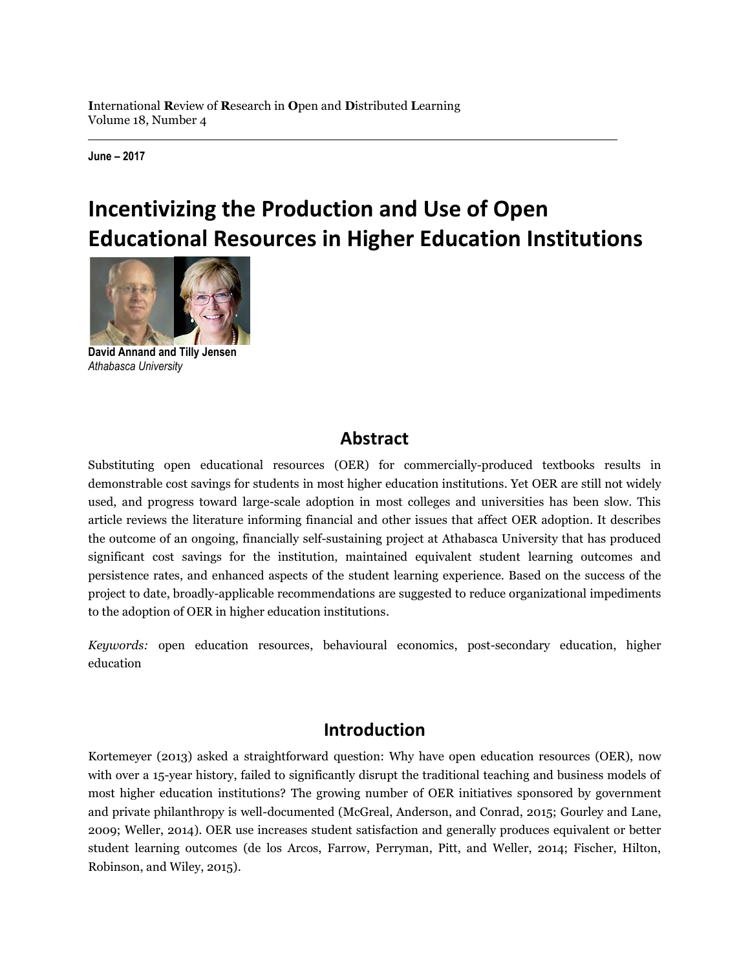**June – 2017**

# **Incentivizing the Production and Use of Open Educational Resources in Higher Education Institutions**



**David Annand and Tilly Jensen** *Athabasca University*

### **Abstract**

Substituting open educational resources (OER) for commercially-produced textbooks results in demonstrable cost savings for students in most higher education institutions. Yet OER are still not widely used, and progress toward large-scale adoption in most colleges and universities has been slow. This article reviews the literature informing financial and other issues that affect OER adoption. It describes the outcome of an ongoing, financially self-sustaining project at Athabasca University that has produced significant cost savings for the institution, maintained equivalent student learning outcomes and persistence rates, and enhanced aspects of the student learning experience. Based on the success of the project to date, broadly-applicable recommendations are suggested to reduce organizational impediments to the adoption of OER in higher education institutions.

*Keywords:* open education resources, behavioural economics, post-secondary education, higher education

### **Introduction**

Kortemeyer (2013) asked a straightforward question: Why have open education resources (OER), now with over a 15-year history, failed to significantly disrupt the traditional teaching and business models of most higher education institutions? The growing number of OER initiatives sponsored by government and private philanthropy is well-documented (McGreal, Anderson, and Conrad, 2015; Gourley and Lane, 2009; Weller, 2014). OER use increases student satisfaction and generally produces equivalent or better student learning outcomes (de los Arcos, Farrow, Perryman, Pitt, and Weller, 2014; Fischer, Hilton, Robinson, and Wiley, 2015).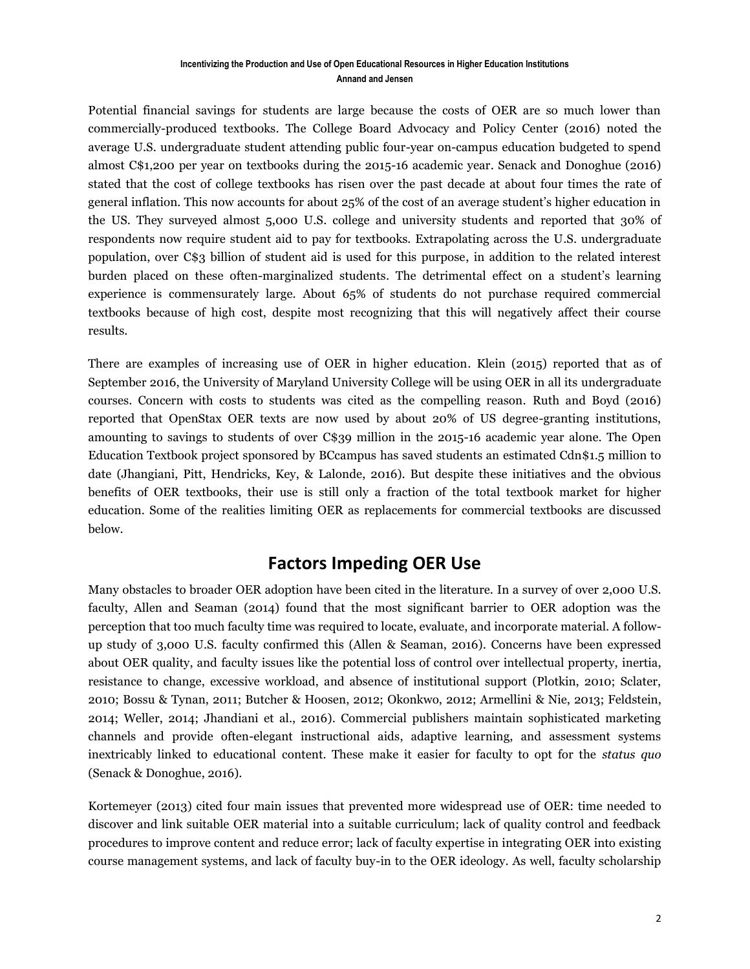Potential financial savings for students are large because the costs of OER are so much lower than commercially-produced textbooks. The College Board Advocacy and Policy Center (2016) noted the average U.S. undergraduate student attending public four-year on-campus education budgeted to spend almost C\$1,200 per year on textbooks during the 2015-16 academic year. Senack and Donoghue (2016) stated that the cost of college textbooks has risen over the past decade at about four times the rate of general inflation. This now accounts for about 25% of the cost of an average student's higher education in the US. They surveyed almost 5,000 U.S. college and university students and reported that 30% of respondents now require student aid to pay for textbooks. Extrapolating across the U.S. undergraduate population, over C\$3 billion of student aid is used for this purpose, in addition to the related interest burden placed on these often-marginalized students. The detrimental effect on a student's learning experience is commensurately large. About 65% of students do not purchase required commercial textbooks because of high cost, despite most recognizing that this will negatively affect their course results.

There are examples of increasing use of OER in higher education. Klein (2015) reported that as of September 2016, the University of Maryland University College will be using OER in all its undergraduate courses. Concern with costs to students was cited as the compelling reason. Ruth and Boyd (2016) reported that OpenStax OER texts are now used by about 20% of US degree-granting institutions, amounting to savings to students of over C\$39 million in the 2015-16 academic year alone. The Open Education Textbook project sponsored by BCcampus has saved students an estimated Cdn\$1.5 million to date (Jhangiani, Pitt, Hendricks, Key, & Lalonde, 2016). But despite these initiatives and the obvious benefits of OER textbooks, their use is still only a fraction of the total textbook market for higher education. Some of the realities limiting OER as replacements for commercial textbooks are discussed below.

## **Factors Impeding OER Use**

Many obstacles to broader OER adoption have been cited in the literature. In a survey of over 2,000 U.S. faculty, Allen and Seaman (2014) found that the most significant barrier to OER adoption was the perception that too much faculty time was required to locate, evaluate, and incorporate material. A followup study of 3,000 U.S. faculty confirmed this (Allen & Seaman, 2016). Concerns have been expressed about OER quality, and faculty issues like the potential loss of control over intellectual property, inertia, resistance to change, excessive workload, and absence of institutional support (Plotkin, 2010; Sclater, 2010; Bossu & Tynan, 2011; Butcher & Hoosen, 2012; Okonkwo, 2012; Armellini & Nie, 2013; Feldstein, 2014; Weller, 2014; Jhandiani et al., 2016). Commercial publishers maintain sophisticated marketing channels and provide often-elegant instructional aids, adaptive learning, and assessment systems inextricably linked to educational content. These make it easier for faculty to opt for the *status quo* (Senack & Donoghue, 2016).

Kortemeyer (2013) cited four main issues that prevented more widespread use of OER: time needed to discover and link suitable OER material into a suitable curriculum; lack of quality control and feedback procedures to improve content and reduce error; lack of faculty expertise in integrating OER into existing course management systems, and lack of faculty buy-in to the OER ideology. As well, faculty scholarship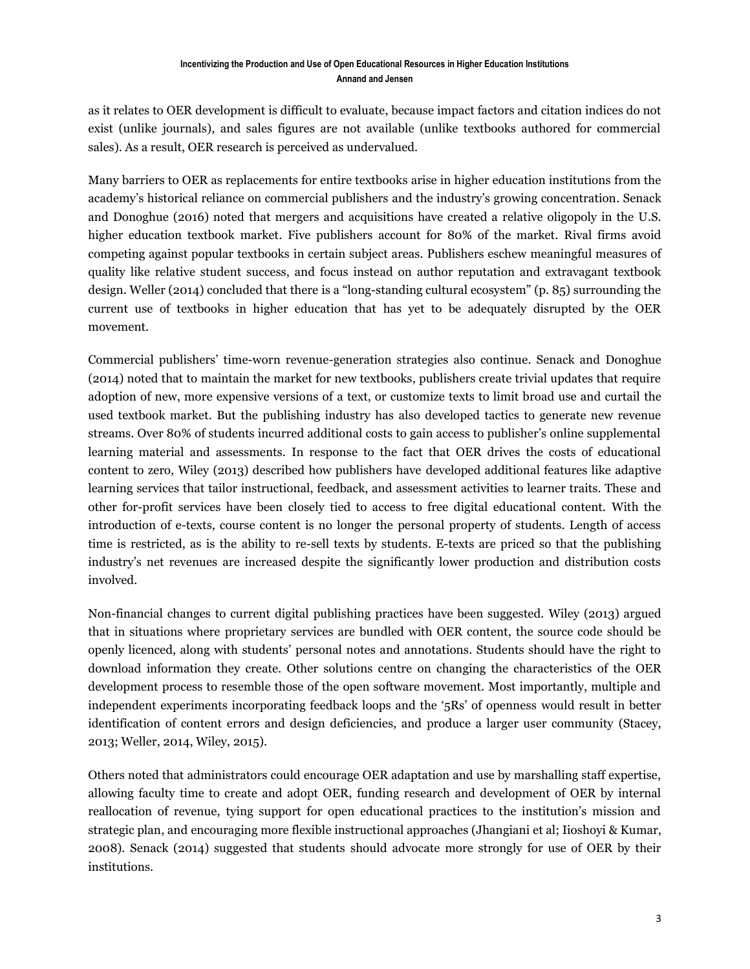as it relates to OER development is difficult to evaluate, because impact factors and citation indices do not exist (unlike journals), and sales figures are not available (unlike textbooks authored for commercial sales). As a result, OER research is perceived as undervalued.

Many barriers to OER as replacements for entire textbooks arise in higher education institutions from the academy's historical reliance on commercial publishers and the industry's growing concentration. Senack and Donoghue (2016) noted that mergers and acquisitions have created a relative oligopoly in the U.S. higher education textbook market. Five publishers account for 80% of the market. Rival firms avoid competing against popular textbooks in certain subject areas. Publishers eschew meaningful measures of quality like relative student success, and focus instead on author reputation and extravagant textbook design. Weller (2014) concluded that there is a "long-standing cultural ecosystem" (p. 85) surrounding the current use of textbooks in higher education that has yet to be adequately disrupted by the OER movement.

Commercial publishers' time-worn revenue-generation strategies also continue. Senack and Donoghue (2014) noted that to maintain the market for new textbooks, publishers create trivial updates that require adoption of new, more expensive versions of a text, or customize texts to limit broad use and curtail the used textbook market. But the publishing industry has also developed tactics to generate new revenue streams. Over 80% of students incurred additional costs to gain access to publisher's online supplemental learning material and assessments. In response to the fact that OER drives the costs of educational content to zero, Wiley (2013) described how publishers have developed additional features like adaptive learning services that tailor instructional, feedback, and assessment activities to learner traits. These and other for-profit services have been closely tied to access to free digital educational content. With the introduction of e-texts, course content is no longer the personal property of students. Length of access time is restricted, as is the ability to re-sell texts by students. E-texts are priced so that the publishing industry's net revenues are increased despite the significantly lower production and distribution costs involved.

Non-financial changes to current digital publishing practices have been suggested. Wiley (2013) argued that in situations where proprietary services are bundled with OER content, the source code should be openly licenced, along with students' personal notes and annotations. Students should have the right to download information they create. Other solutions centre on changing the characteristics of the OER development process to resemble those of the open software movement. Most importantly, multiple and independent experiments incorporating feedback loops and the '5Rs' of openness would result in better identification of content errors and design deficiencies, and produce a larger user community (Stacey, 2013; Weller, 2014, Wiley, 2015).

Others noted that administrators could encourage OER adaptation and use by marshalling staff expertise, allowing faculty time to create and adopt OER, funding research and development of OER by internal reallocation of revenue, tying support for open educational practices to the institution's mission and strategic plan, and encouraging more flexible instructional approaches (Jhangiani et al; Iioshoyi & Kumar, 2008). Senack (2014) suggested that students should advocate more strongly for use of OER by their institutions.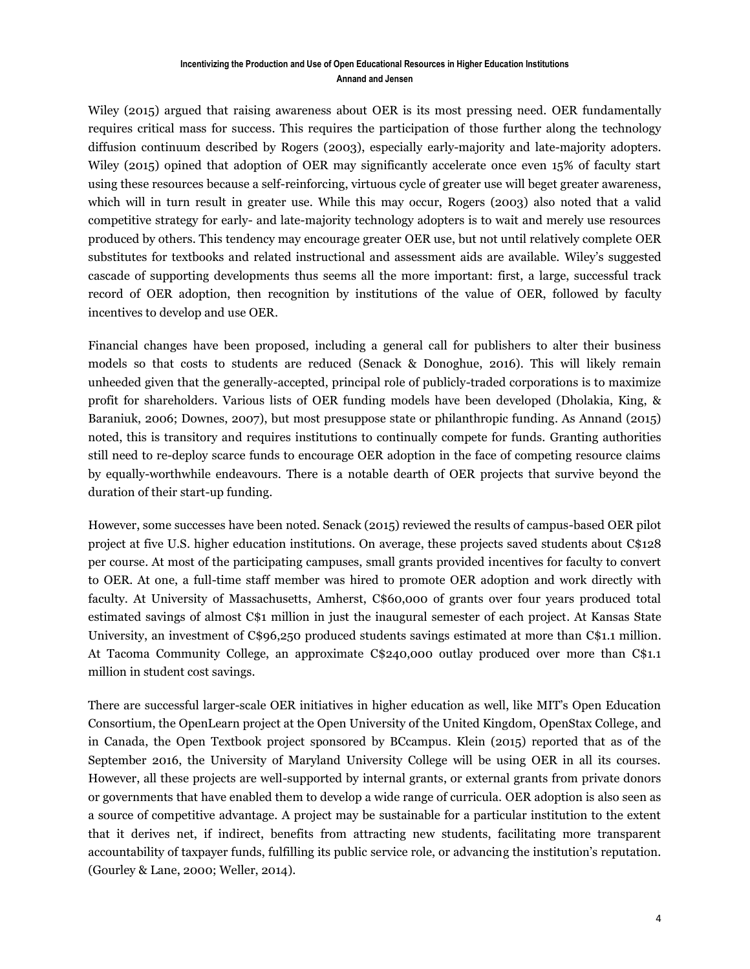Wiley (2015) argued that raising awareness about OER is its most pressing need. OER fundamentally requires critical mass for success. This requires the participation of those further along the technology diffusion continuum described by Rogers (2003), especially early-majority and late-majority adopters. Wiley (2015) opined that adoption of OER may significantly accelerate once even 15% of faculty start using these resources because a self-reinforcing, virtuous cycle of greater use will beget greater awareness, which will in turn result in greater use. While this may occur, Rogers (2003) also noted that a valid competitive strategy for early- and late-majority technology adopters is to wait and merely use resources produced by others. This tendency may encourage greater OER use, but not until relatively complete OER substitutes for textbooks and related instructional and assessment aids are available. Wiley's suggested cascade of supporting developments thus seems all the more important: first, a large, successful track record of OER adoption, then recognition by institutions of the value of OER, followed by faculty incentives to develop and use OER.

Financial changes have been proposed, including a general call for publishers to alter their business models so that costs to students are reduced (Senack & Donoghue, 2016). This will likely remain unheeded given that the generally-accepted, principal role of publicly-traded corporations is to maximize profit for shareholders. Various lists of OER funding models have been developed (Dholakia, King, & Baraniuk, 2006; Downes, 2007), but most presuppose state or philanthropic funding. As Annand (2015) noted, this is transitory and requires institutions to continually compete for funds. Granting authorities still need to re-deploy scarce funds to encourage OER adoption in the face of competing resource claims by equally-worthwhile endeavours. There is a notable dearth of OER projects that survive beyond the duration of their start-up funding.

However, some successes have been noted. Senack (2015) reviewed the results of campus-based OER pilot project at five U.S. higher education institutions. On average, these projects saved students about C\$128 per course. At most of the participating campuses, small grants provided incentives for faculty to convert to OER. At one, a full-time staff member was hired to promote OER adoption and work directly with faculty. At University of Massachusetts, Amherst, C\$60,000 of grants over four years produced total estimated savings of almost C\$1 million in just the inaugural semester of each project. At Kansas State University, an investment of C\$96,250 produced students savings estimated at more than C\$1.1 million. At Tacoma Community College, an approximate C\$240,000 outlay produced over more than C\$1.1 million in student cost savings.

There are successful larger-scale OER initiatives in higher education as well, like MIT's Open Education Consortium, the OpenLearn project at the Open University of the United Kingdom, OpenStax College, and in Canada, the Open Textbook project sponsored by BCcampus. Klein (2015) reported that as of the September 2016, the University of Maryland University College will be using OER in all its courses. However, all these projects are well-supported by internal grants, or external grants from private donors or governments that have enabled them to develop a wide range of curricula. OER adoption is also seen as a source of competitive advantage. A project may be sustainable for a particular institution to the extent that it derives net, if indirect, benefits from attracting new students, facilitating more transparent accountability of taxpayer funds, fulfilling its public service role, or advancing the institution's reputation. (Gourley & Lane, 2000; Weller, 2014).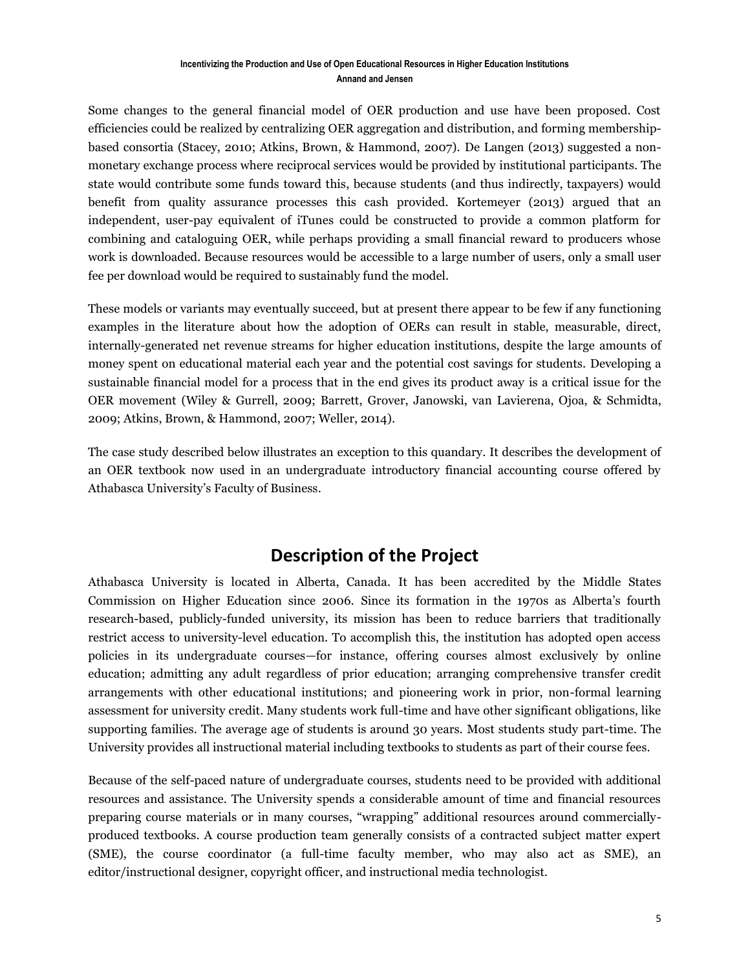Some changes to the general financial model of OER production and use have been proposed. Cost efficiencies could be realized by centralizing OER aggregation and distribution, and forming membershipbased consortia (Stacey, 2010; Atkins, Brown, & Hammond, 2007). De Langen (2013) suggested a nonmonetary exchange process where reciprocal services would be provided by institutional participants. The state would contribute some funds toward this, because students (and thus indirectly, taxpayers) would benefit from quality assurance processes this cash provided. Kortemeyer (2013) argued that an independent, user-pay equivalent of iTunes could be constructed to provide a common platform for combining and cataloguing OER, while perhaps providing a small financial reward to producers whose work is downloaded. Because resources would be accessible to a large number of users, only a small user fee per download would be required to sustainably fund the model.

These models or variants may eventually succeed, but at present there appear to be few if any functioning examples in the literature about how the adoption of OERs can result in stable, measurable, direct, internally-generated net revenue streams for higher education institutions, despite the large amounts of money spent on educational material each year and the potential cost savings for students. Developing a sustainable financial model for a process that in the end gives its product away is a critical issue for the OER movement (Wiley & Gurrell, 2009; Barrett, Grover, Janowski, van Lavierena, Ojoa, & Schmidta, 2009; Atkins, Brown, & Hammond, 2007; Weller, 2014).

The case study described below illustrates an exception to this quandary. It describes the development of an OER textbook now used in an undergraduate introductory financial accounting course offered by Athabasca University's Faculty of Business.

## **Description of the Project**

Athabasca University is located in Alberta, Canada. It has been accredited by the Middle States Commission on Higher Education since 2006. Since its formation in the 1970s as Alberta's fourth research-based, publicly-funded university, its mission has been to reduce barriers that traditionally restrict access to university-level education. To accomplish this, the institution has adopted open access policies in its undergraduate courses—for instance, offering courses almost exclusively by online education; admitting any adult regardless of prior education; arranging comprehensive transfer credit arrangements with other educational institutions; and pioneering work in prior, non-formal learning assessment for university credit. Many students work full-time and have other significant obligations, like supporting families. The average age of students is around 30 years. Most students study part-time. The University provides all instructional material including textbooks to students as part of their course fees.

Because of the self-paced nature of undergraduate courses, students need to be provided with additional resources and assistance. The University spends a considerable amount of time and financial resources preparing course materials or in many courses, "wrapping" additional resources around commerciallyproduced textbooks. A course production team generally consists of a contracted subject matter expert (SME), the course coordinator (a full-time faculty member, who may also act as SME), an editor/instructional designer, copyright officer, and instructional media technologist.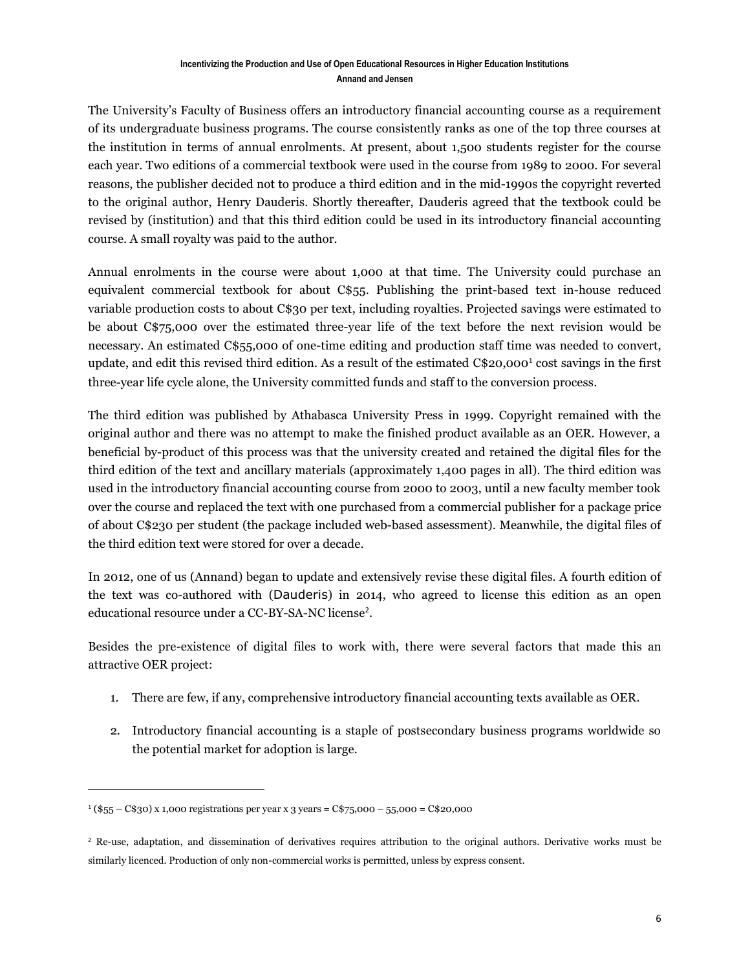The University's Faculty of Business offers an introductory financial accounting course as a requirement of its undergraduate business programs. The course consistently ranks as one of the top three courses at the institution in terms of annual enrolments. At present, about 1,500 students register for the course each year. Two editions of a commercial textbook were used in the course from 1989 to 2000. For several reasons, the publisher decided not to produce a third edition and in the mid-1990s the copyright reverted to the original author, Henry Dauderis. Shortly thereafter, Dauderis agreed that the textbook could be revised by (institution) and that this third edition could be used in its introductory financial accounting course. A small royalty was paid to the author.

Annual enrolments in the course were about 1,000 at that time. The University could purchase an equivalent commercial textbook for about C\$55. Publishing the print-based text in-house reduced variable production costs to about C\$30 per text, including royalties. Projected savings were estimated to be about C\$75,000 over the estimated three-year life of the text before the next revision would be necessary. An estimated C\$55,000 of one-time editing and production staff time was needed to convert, update, and edit this revised third edition. As a result of the estimated C\$20,000<sup>1</sup> cost savings in the first three-year life cycle alone, the University committed funds and staff to the conversion process.

The third edition was published by Athabasca University Press in 1999. Copyright remained with the original author and there was no attempt to make the finished product available as an OER. However, a beneficial by-product of this process was that the university created and retained the digital files for the third edition of the text and ancillary materials (approximately 1,400 pages in all). The third edition was used in the introductory financial accounting course from 2000 to 2003, until a new faculty member took over the course and replaced the text with one purchased from a commercial publisher for a package price of about C\$230 per student (the package included web-based assessment). Meanwhile, the digital files of the third edition text were stored for over a decade.

In 2012, one of us (Annand) began to update and extensively revise these digital files. A fourth edition of the text was co-authored with (Dauderis) in 2014, who agreed to license this edition as an open educational resource under a CC-BY-SA-NC license<sup>2</sup> .

Besides the pre-existence of digital files to work with, there were several factors that made this an attractive OER project:

- 1. There are few, if any, comprehensive introductory financial accounting texts available as OER.
- 2. Introductory financial accounting is a staple of postsecondary business programs worldwide so the potential market for adoption is large.

 $\overline{a}$ 

<sup>1</sup> (\$55 – C\$30) x 1,000 registrations per year x 3 years = C\$75,000 – 55,000 = C\$20,000

<sup>&</sup>lt;sup>2</sup> Re-use, adaptation, and dissemination of derivatives requires attribution to the original authors. Derivative works must be similarly licenced. Production of only non-commercial works is permitted, unless by express consent.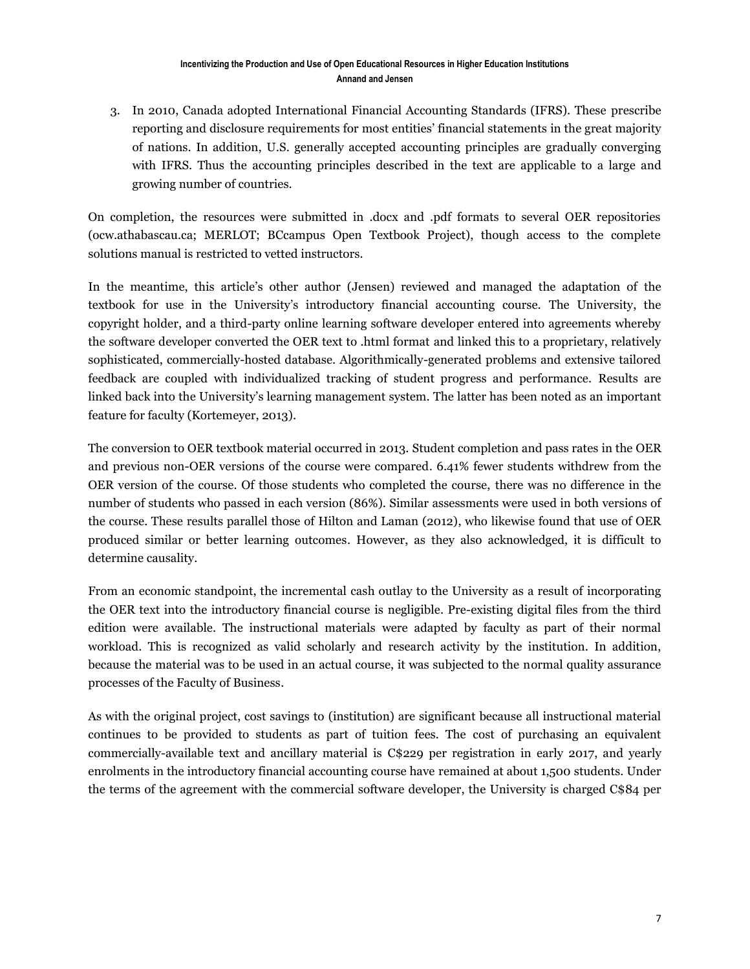3. In 2010, Canada adopted International Financial Accounting Standards (IFRS). These prescribe reporting and disclosure requirements for most entities' financial statements in the great majority of nations. In addition, U.S. generally accepted accounting principles are gradually converging with IFRS. Thus the accounting principles described in the text are applicable to a large and growing number of countries.

On completion, the resources were submitted in .docx and .pdf formats to several OER repositories (ocw.athabascau.ca; MERLOT; BCcampus Open Textbook Project), though access to the complete solutions manual is restricted to vetted instructors.

In the meantime, this article's other author (Jensen) reviewed and managed the adaptation of the textbook for use in the University's introductory financial accounting course. The University, the copyright holder, and a third-party online learning software developer entered into agreements whereby the software developer converted the OER text to .html format and linked this to a proprietary, relatively sophisticated, commercially-hosted database. Algorithmically-generated problems and extensive tailored feedback are coupled with individualized tracking of student progress and performance. Results are linked back into the University's learning management system. The latter has been noted as an important feature for faculty (Kortemeyer, 2013).

The conversion to OER textbook material occurred in 2013. Student completion and pass rates in the OER and previous non-OER versions of the course were compared. 6.41% fewer students withdrew from the OER version of the course. Of those students who completed the course, there was no difference in the number of students who passed in each version (86%). Similar assessments were used in both versions of the course. These results parallel those of Hilton and Laman (2012), who likewise found that use of OER produced similar or better learning outcomes. However, as they also acknowledged, it is difficult to determine causality.

From an economic standpoint, the incremental cash outlay to the University as a result of incorporating the OER text into the introductory financial course is negligible. Pre-existing digital files from the third edition were available. The instructional materials were adapted by faculty as part of their normal workload. This is recognized as valid scholarly and research activity by the institution. In addition, because the material was to be used in an actual course, it was subjected to the normal quality assurance processes of the Faculty of Business.

As with the original project, cost savings to (institution) are significant because all instructional material continues to be provided to students as part of tuition fees. The cost of purchasing an equivalent commercially-available text and ancillary material is C\$229 per registration in early 2017, and yearly enrolments in the introductory financial accounting course have remained at about 1,500 students. Under the terms of the agreement with the commercial software developer, the University is charged C\$84 per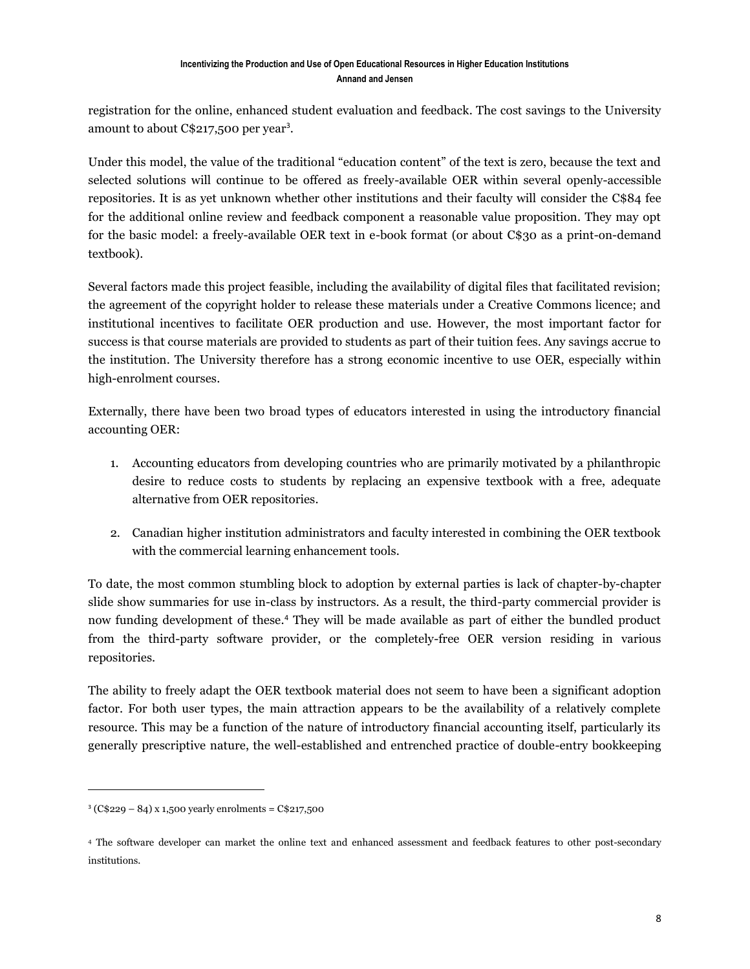registration for the online, enhanced student evaluation and feedback. The cost savings to the University amount to about C\$217,500 per year<sup>3</sup>.

Under this model, the value of the traditional "education content" of the text is zero, because the text and selected solutions will continue to be offered as freely-available OER within several openly-accessible repositories. It is as yet unknown whether other institutions and their faculty will consider the C\$84 fee for the additional online review and feedback component a reasonable value proposition. They may opt for the basic model: a freely-available OER text in e-book format (or about C\$30 as a print-on-demand textbook).

Several factors made this project feasible, including the availability of digital files that facilitated revision; the agreement of the copyright holder to release these materials under a Creative Commons licence; and institutional incentives to facilitate OER production and use. However, the most important factor for success is that course materials are provided to students as part of their tuition fees. Any savings accrue to the institution. The University therefore has a strong economic incentive to use OER, especially within high-enrolment courses.

Externally, there have been two broad types of educators interested in using the introductory financial accounting OER:

- 1. Accounting educators from developing countries who are primarily motivated by a philanthropic desire to reduce costs to students by replacing an expensive textbook with a free, adequate alternative from OER repositories.
- 2. Canadian higher institution administrators and faculty interested in combining the OER textbook with the commercial learning enhancement tools.

To date, the most common stumbling block to adoption by external parties is lack of chapter-by-chapter slide show summaries for use in-class by instructors. As a result, the third-party commercial provider is now funding development of these.<sup>4</sup> They will be made available as part of either the bundled product from the third-party software provider, or the completely-free OER version residing in various repositories.

The ability to freely adapt the OER textbook material does not seem to have been a significant adoption factor. For both user types, the main attraction appears to be the availability of a relatively complete resource. This may be a function of the nature of introductory financial accounting itself, particularly its generally prescriptive nature, the well-established and entrenched practice of double-entry bookkeeping

 $\overline{a}$ 

<sup>3</sup> (C\$229 – 84) x 1,500 yearly enrolments = C\$217,500

<sup>4</sup> The software developer can market the online text and enhanced assessment and feedback features to other post-secondary institutions.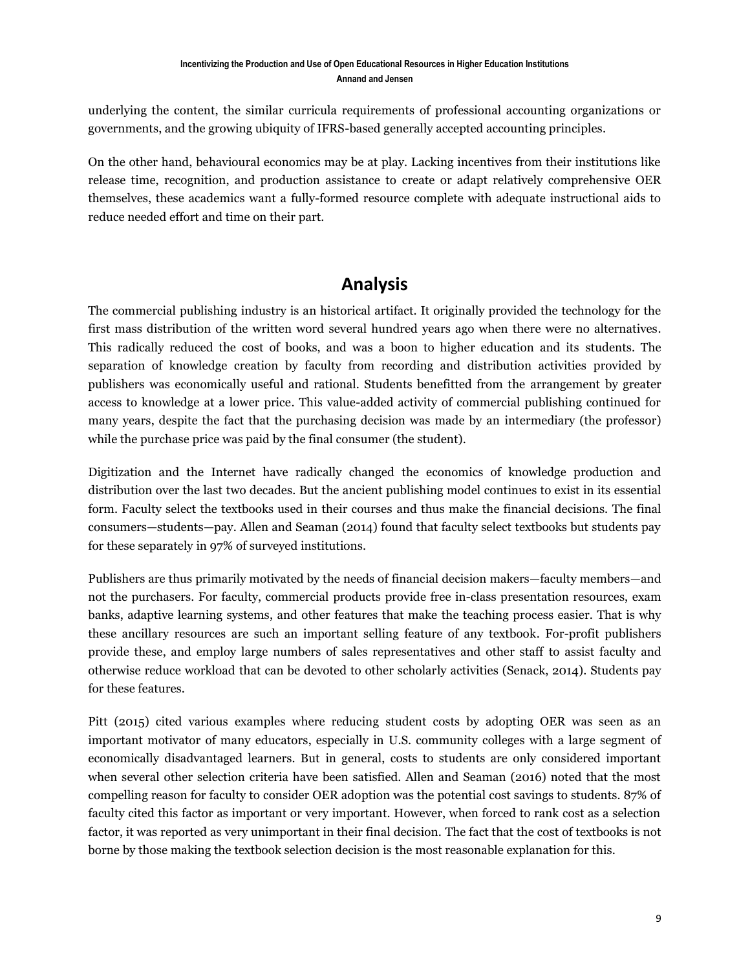underlying the content, the similar curricula requirements of professional accounting organizations or governments, and the growing ubiquity of IFRS-based generally accepted accounting principles.

On the other hand, behavioural economics may be at play. Lacking incentives from their institutions like release time, recognition, and production assistance to create or adapt relatively comprehensive OER themselves, these academics want a fully-formed resource complete with adequate instructional aids to reduce needed effort and time on their part.

# **Analysis**

The commercial publishing industry is an historical artifact. It originally provided the technology for the first mass distribution of the written word several hundred years ago when there were no alternatives. This radically reduced the cost of books, and was a boon to higher education and its students. The separation of knowledge creation by faculty from recording and distribution activities provided by publishers was economically useful and rational. Students benefitted from the arrangement by greater access to knowledge at a lower price. This value-added activity of commercial publishing continued for many years, despite the fact that the purchasing decision was made by an intermediary (the professor) while the purchase price was paid by the final consumer (the student).

Digitization and the Internet have radically changed the economics of knowledge production and distribution over the last two decades. But the ancient publishing model continues to exist in its essential form. Faculty select the textbooks used in their courses and thus make the financial decisions. The final consumers—students—pay. Allen and Seaman (2014) found that faculty select textbooks but students pay for these separately in 97% of surveyed institutions.

Publishers are thus primarily motivated by the needs of financial decision makers—faculty members—and not the purchasers. For faculty, commercial products provide free in-class presentation resources, exam banks, adaptive learning systems, and other features that make the teaching process easier. That is why these ancillary resources are such an important selling feature of any textbook. For-profit publishers provide these, and employ large numbers of sales representatives and other staff to assist faculty and otherwise reduce workload that can be devoted to other scholarly activities (Senack, 2014). Students pay for these features.

Pitt (2015) cited various examples where reducing student costs by adopting OER was seen as an important motivator of many educators, especially in U.S. community colleges with a large segment of economically disadvantaged learners. But in general, costs to students are only considered important when several other selection criteria have been satisfied. Allen and Seaman (2016) noted that the most compelling reason for faculty to consider OER adoption was the potential cost savings to students. 87% of faculty cited this factor as important or very important. However, when forced to rank cost as a selection factor, it was reported as very unimportant in their final decision. The fact that the cost of textbooks is not borne by those making the textbook selection decision is the most reasonable explanation for this.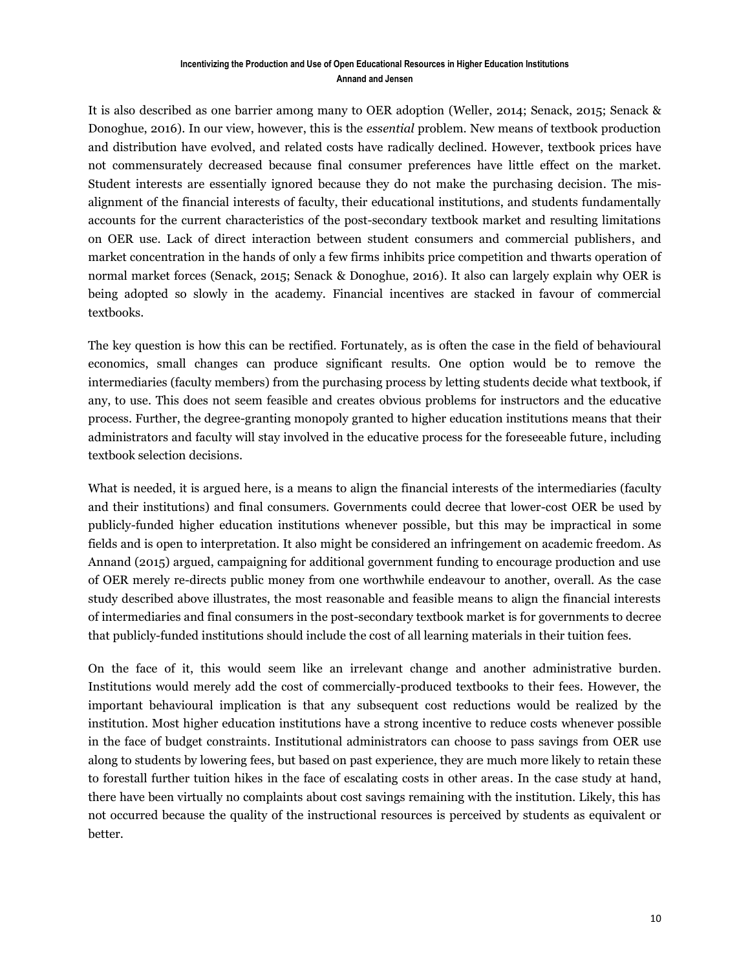It is also described as one barrier among many to OER adoption (Weller, 2014; Senack, 2015; Senack & Donoghue, 2016). In our view, however, this is the *essential* problem. New means of textbook production and distribution have evolved, and related costs have radically declined. However, textbook prices have not commensurately decreased because final consumer preferences have little effect on the market. Student interests are essentially ignored because they do not make the purchasing decision. The misalignment of the financial interests of faculty, their educational institutions, and students fundamentally accounts for the current characteristics of the post-secondary textbook market and resulting limitations on OER use. Lack of direct interaction between student consumers and commercial publishers, and market concentration in the hands of only a few firms inhibits price competition and thwarts operation of normal market forces (Senack, 2015; Senack & Donoghue, 2016). It also can largely explain why OER is being adopted so slowly in the academy. Financial incentives are stacked in favour of commercial textbooks.

The key question is how this can be rectified. Fortunately, as is often the case in the field of behavioural economics, small changes can produce significant results. One option would be to remove the intermediaries (faculty members) from the purchasing process by letting students decide what textbook, if any, to use. This does not seem feasible and creates obvious problems for instructors and the educative process. Further, the degree-granting monopoly granted to higher education institutions means that their administrators and faculty will stay involved in the educative process for the foreseeable future, including textbook selection decisions.

What is needed, it is argued here, is a means to align the financial interests of the intermediaries (faculty and their institutions) and final consumers. Governments could decree that lower-cost OER be used by publicly-funded higher education institutions whenever possible, but this may be impractical in some fields and is open to interpretation. It also might be considered an infringement on academic freedom. As Annand (2015) argued, campaigning for additional government funding to encourage production and use of OER merely re-directs public money from one worthwhile endeavour to another, overall. As the case study described above illustrates, the most reasonable and feasible means to align the financial interests of intermediaries and final consumers in the post-secondary textbook market is for governments to decree that publicly-funded institutions should include the cost of all learning materials in their tuition fees.

On the face of it, this would seem like an irrelevant change and another administrative burden. Institutions would merely add the cost of commercially-produced textbooks to their fees. However, the important behavioural implication is that any subsequent cost reductions would be realized by the institution. Most higher education institutions have a strong incentive to reduce costs whenever possible in the face of budget constraints. Institutional administrators can choose to pass savings from OER use along to students by lowering fees, but based on past experience, they are much more likely to retain these to forestall further tuition hikes in the face of escalating costs in other areas. In the case study at hand, there have been virtually no complaints about cost savings remaining with the institution. Likely, this has not occurred because the quality of the instructional resources is perceived by students as equivalent or better.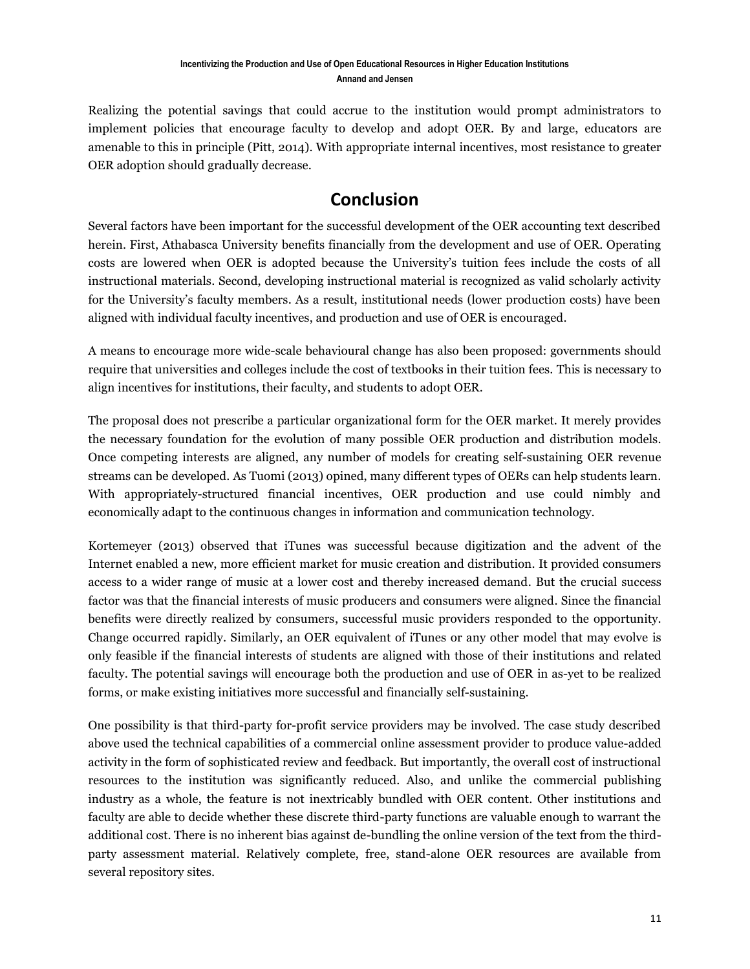Realizing the potential savings that could accrue to the institution would prompt administrators to implement policies that encourage faculty to develop and adopt OER. By and large, educators are amenable to this in principle (Pitt, 2014). With appropriate internal incentives, most resistance to greater OER adoption should gradually decrease.

# **Conclusion**

Several factors have been important for the successful development of the OER accounting text described herein. First, Athabasca University benefits financially from the development and use of OER. Operating costs are lowered when OER is adopted because the University's tuition fees include the costs of all instructional materials. Second, developing instructional material is recognized as valid scholarly activity for the University's faculty members. As a result, institutional needs (lower production costs) have been aligned with individual faculty incentives, and production and use of OER is encouraged.

A means to encourage more wide-scale behavioural change has also been proposed: governments should require that universities and colleges include the cost of textbooks in their tuition fees. This is necessary to align incentives for institutions, their faculty, and students to adopt OER.

The proposal does not prescribe a particular organizational form for the OER market. It merely provides the necessary foundation for the evolution of many possible OER production and distribution models. Once competing interests are aligned, any number of models for creating self-sustaining OER revenue streams can be developed. As Tuomi (2013) opined, many different types of OERs can help students learn. With appropriately-structured financial incentives, OER production and use could nimbly and economically adapt to the continuous changes in information and communication technology.

Kortemeyer (2013) observed that iTunes was successful because digitization and the advent of the Internet enabled a new, more efficient market for music creation and distribution. It provided consumers access to a wider range of music at a lower cost and thereby increased demand. But the crucial success factor was that the financial interests of music producers and consumers were aligned. Since the financial benefits were directly realized by consumers, successful music providers responded to the opportunity. Change occurred rapidly. Similarly, an OER equivalent of iTunes or any other model that may evolve is only feasible if the financial interests of students are aligned with those of their institutions and related faculty. The potential savings will encourage both the production and use of OER in as-yet to be realized forms, or make existing initiatives more successful and financially self-sustaining.

One possibility is that third-party for-profit service providers may be involved. The case study described above used the technical capabilities of a commercial online assessment provider to produce value-added activity in the form of sophisticated review and feedback. But importantly, the overall cost of instructional resources to the institution was significantly reduced. Also, and unlike the commercial publishing industry as a whole, the feature is not inextricably bundled with OER content. Other institutions and faculty are able to decide whether these discrete third-party functions are valuable enough to warrant the additional cost. There is no inherent bias against de-bundling the online version of the text from the thirdparty assessment material. Relatively complete, free, stand-alone OER resources are available from several repository sites.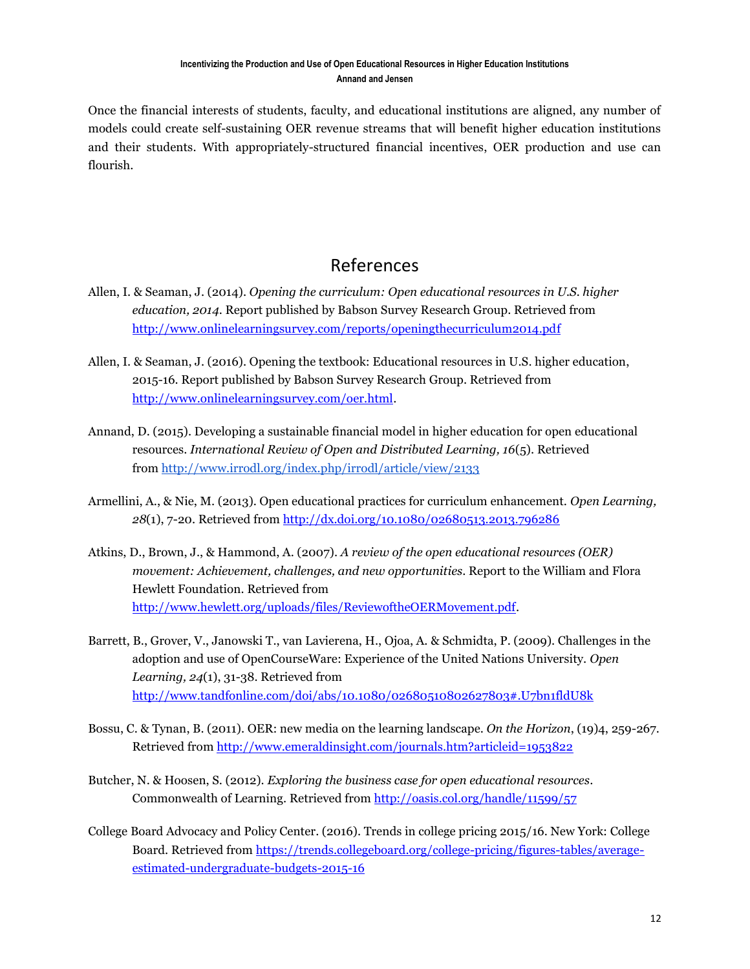Once the financial interests of students, faculty, and educational institutions are aligned, any number of models could create self-sustaining OER revenue streams that will benefit higher education institutions and their students. With appropriately-structured financial incentives, OER production and use can flourish.

# References

- Allen, I. & Seaman, J. (2014). *Opening the curriculum: Open educational resources in U.S. higher education, 2014*. Report published by Babson Survey Research Group. Retrieved from <http://www.onlinelearningsurvey.com/reports/openingthecurriculum2014.pdf>
- Allen, I. & Seaman, J. (2016). Opening the textbook: Educational resources in U.S. higher education, 2015-16. Report published by Babson Survey Research Group. Retrieved from [http://www.onlinelearningsurvey.com/oer.html.](http://www.onlinelearningsurvey.com/oer.html)
- Annand, D. (2015). Developing a sustainable financial model in higher education for open educational resources. *International Review of Open and Distributed Learning, 16*(5). Retrieved from <http://www.irrodl.org/index.php/irrodl/article/view/2133>
- Armellini, A., & Nie, M. (2013). Open educational practices for curriculum enhancement. *Open Learning, 28*(1), 7-20. Retrieved from<http://dx.doi.org/10.1080/02680513.2013.796286>
- Atkins, D., Brown, J., & Hammond, A. (2007). *A review of the open educational resources (OER) movement: Achievement, challenges, and new opportunities*. Report to the William and Flora Hewlett Foundation. Retrieved from [http://www.hewlett.org/uploads/files/ReviewoftheOERMovement.pdf.](http://www.hewlett.org/uploads/files/ReviewoftheOERMovement.pdf)
- Barrett, B., Grover, V., Janowski T., van Lavierena, H., Ojoa, A. & Schmidta, P. (2009). Challenges in the adoption and use of OpenCourseWare: Experience of the United Nations University. *Open Learning, 24*(1), 31-38. Retrieved from <http://www.tandfonline.com/doi/abs/10.1080/02680510802627803#.U7bn1fldU8k>
- Bossu, C. & Tynan, B. (2011). [OER: new media on the learning landscape.](http://0-eds.a.ebscohost.com.aupac.lib.athabascau.ca/eds/viewarticle?data=dGJyMPPp44rp2%2fdV0%2bnjisfk5Ie46bNIs6u3S6%2bk63nn5Kx94umrefDqvkutp7BHsKavTJ6quEqxsLFJnsbLPvLo34bx1%2bGM5%2bXsgeKzq0quq69IsamyTbOc6nns3bt97Jziervb4nqk6t9%2fu7fMPt%2fku0%2bwra5Jsam3PuTl8IXf6rt%2b8%2bLqjOPu8gAA&hid=4203) *On the Horizon*, (19)4, 259-267. Retrieved from<http://www.emeraldinsight.com/journals.htm?articleid=1953822>
- Butcher, N. & Hoosen, S. (2012). *Exploring the business case for open educational resources*. Commonwealth of Learning[. Retrieved from http://oasis.col.org/handle/11599/57](http://oasis.col.org/handle/11599/57)
- College Board Advocacy and Policy Center. (2016). Trends in college pricing 2015/16. New York: College Board. Retrieved from [https://trends.collegeboard.org/college-pricing/figures-tables/average](https://trends.collegeboard.org/college-pricing/figures-tables/average-estimated-undergraduate-budgets-2015-16)[estimated-undergraduate-budgets-2015-16](https://trends.collegeboard.org/college-pricing/figures-tables/average-estimated-undergraduate-budgets-2015-16)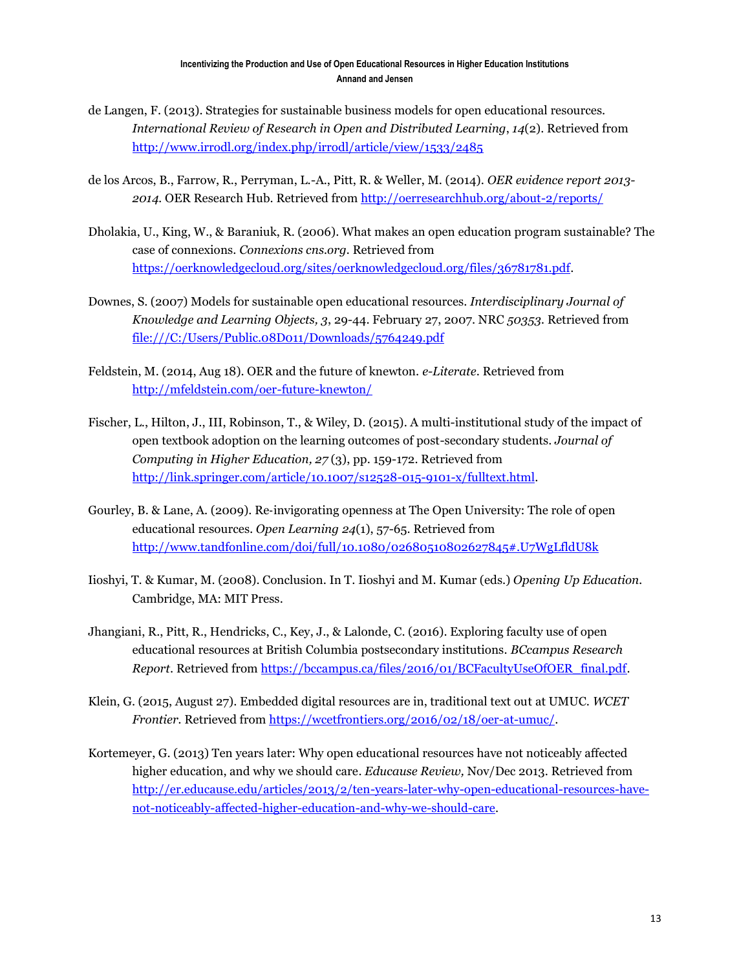- de Langen, F. (2013). Strategies for sustainable business models for open educational resources. *International Review of Research in Open and Distributed Learning*, *14*(2). Retrieved from <http://www.irrodl.org/index.php/irrodl/article/view/1533/2485>
- de los Arcos, B., Farrow, R., Perryman, L.-A., Pitt, R. & Weller, M. (2014). *OER evidence report 2013- 2014.* OER Research Hub. Retrieved from<http://oerresearchhub.org/about-2/reports/>
- Dholakia, U., King, W., & Baraniuk, R. (2006). What makes an open education program sustainable? The case of connexions. *Connexions cns.org.* Retrieved from [https://oerknowledgecloud.org/sites/oerknowledgecloud.org/files/36781781.pdf.](https://oerknowledgecloud.org/sites/oerknowledgecloud.org/files/36781781.pdf)
- Downes, S. (2007) Models for sustainable open educational resources. *Interdisciplinary Journal of Knowledge and Learning Objects, 3*, 29-44. February 27, 2007. NRC *50353.* Retrieved from <file:///C:/Users/Public.08D011/Downloads/5764249.pdf>
- Feldstein, M. (2014, Aug 18). OER and the future of knewton. *e-Literate*. Retrieved from <http://mfeldstein.com/oer-future-knewton/>
- Fischer, L., Hilton, J., III, Robinson, T., & Wiley, D. (2015). A multi-institutional study of the impact of open textbook adoption on the learning outcomes of post-secondary students. *Journal of Computing in Higher Education, 27* (3), pp. 159-172. Retrieved from [http://link.springer.com/article/10.1007/s12528-015-9101-x/fulltext.html.](http://link.springer.com/article/10.1007/s12528-015-9101-x/fulltext.html)
- Gourley, B. & Lane, A. (2009). Re‐invigorating openness at The Open University: The role of open educational resources*. Open Learning 24*(1), 57-65. Retrieved from <http://www.tandfonline.com/doi/full/10.1080/02680510802627845#.U7WgLfldU8k>
- Iioshyi, T. & Kumar, M. (2008). Conclusion. In T. Iioshyi and M. Kumar (eds.) *Opening Up Education.*  Cambridge, MA: MIT Press.
- Jhangiani, R., Pitt, R., Hendricks, C., Key, J., & Lalonde, C. (2016). Exploring faculty use of open educational resources at British Columbia postsecondary institutions. *BCcampus Research Report*. Retrieved from [https://bccampus.ca/files/2016/01/BCFacultyUseOfOER\\_final.pdf.](https://bccampus.ca/files/2016/01/BCFacultyUseOfOER_final.pdf)
- Klein, G. (2015, August 27). Embedded digital resources are in, traditional text out at UMUC. *WCET Frontier.* Retrieved from [https://wcetfrontiers.org/2016/02/18/oer-at-umuc/.](https://wcetfrontiers.org/2016/02/18/oer-at-umuc/)
- Kortemeyer, G. (2013) Ten years later: Why open educational resources have not noticeably affected higher education, and why we should care. *Educause Review,* Nov/Dec 2013. Retrieved from [http://er.educause.edu/articles/2013/2/ten-years-later-why-open-educational-resources-have](http://er.educause.edu/articles/2013/2/ten-years-later-why-open-educational-resources-have-not-noticeably-affected-higher-education-and-why-we-should-care)[not-noticeably-affected-higher-education-and-why-we-should-care.](http://er.educause.edu/articles/2013/2/ten-years-later-why-open-educational-resources-have-not-noticeably-affected-higher-education-and-why-we-should-care)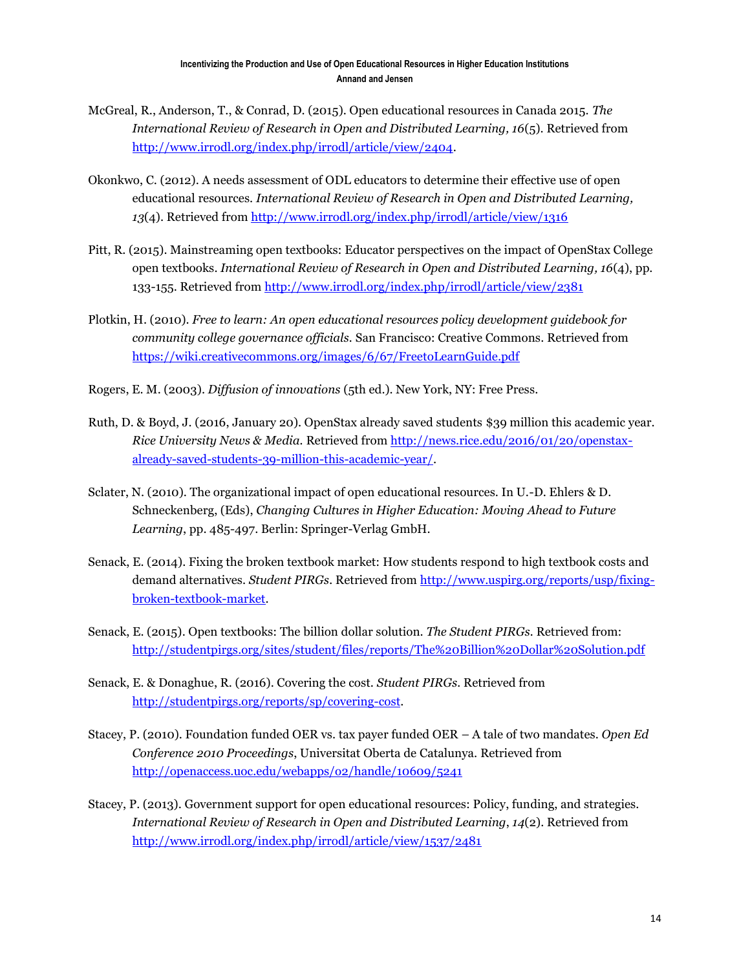- McGreal, R., Anderson, T., & Conrad, D. (2015). Open educational resources in Canada 2015. *The International Review of Research in Open and Distributed Learning, 16*(5). Retrieved from [http://www.irrodl.org/index.php/irrodl/article/view/2404.](http://www.irrodl.org/index.php/irrodl/article/view/2404)
- Okonkwo, C. (2012). A needs assessment of ODL educators to determine their effective use of open educational resources. *International Review of Research in Open and Distributed Learning, 13*(4). Retrieved from<http://www.irrodl.org/index.php/irrodl/article/view/1316>
- Pitt, R. (2015). Mainstreaming open textbooks: Educator perspectives on the impact of OpenStax College open textbooks. *International Review of Research in Open and Distributed Learning, 16*(4), pp. 133-155. Retrieved from<http://www.irrodl.org/index.php/irrodl/article/view/2381>
- Plotkin, H. (2010). *Free to learn: An open educational resources policy development guidebook for community college governance officials.* San Francisco: Creative Commons. Retrieved from <https://wiki.creativecommons.org/images/6/67/FreetoLearnGuide.pdf>
- Rogers, E. M. (2003). *Diffusion of innovations* (5th ed.). New York, NY: Free Press.
- Ruth, D. & Boyd, J. (2016, January 20). OpenStax already saved students \$39 million this academic year. *Rice University News & Media.* Retrieved from [http://news.rice.edu/2016/01/20/openstax](http://news.rice.edu/2016/01/20/openstax-already-saved-students-39-million-this-academic-year/)[already-saved-students-39-million-this-academic-year/.](http://news.rice.edu/2016/01/20/openstax-already-saved-students-39-million-this-academic-year/)
- Sclater, N. (2010). The organizational impact of open educational resources. In U.-D. Ehlers & D. Schneckenberg, (Eds), *Changing Cultures in Higher Education: Moving Ahead to Future Learning*, pp. 485-497. Berlin: Springer-Verlag GmbH.
- Senack, E. (2014). Fixing the broken textbook market: How students respond to high textbook costs and demand alternatives. *Student PIRGs.* Retrieved from [http://www.uspirg.org/reports/usp/fixing](http://www.uspirg.org/reports/usp/fixing-broken-textbook-market)[broken-textbook-market.](http://www.uspirg.org/reports/usp/fixing-broken-textbook-market)
- Senack, E. (2015). Open textbooks: The billion dollar solution. *The Student PIRGs.* Retrieved from: <http://studentpirgs.org/sites/student/files/reports/The%20Billion%20Dollar%20Solution.pdf>
- Senack, E. & Donaghue, R. (2016). Covering the cost. *Student PIRGs.* Retrieved from [http://studentpirgs.org/reports/sp/covering-cost.](http://studentpirgs.org/reports/sp/covering-cost)
- Stacey, P. (2010). Foundation funded OER vs. tax payer funded OER A tale of two mandates. *Open Ed Conference 2010 Proceedings*, Universitat Oberta de Catalunya. Retrieved from <http://openaccess.uoc.edu/webapps/o2/handle/10609/5241>
- Stacey, P. (2013). Government support for open educational resources: Policy, funding, and strategies. *International Review of Research in Open and Distributed Learning*, *14*(2). Retrieved from <http://www.irrodl.org/index.php/irrodl/article/view/1537/2481>